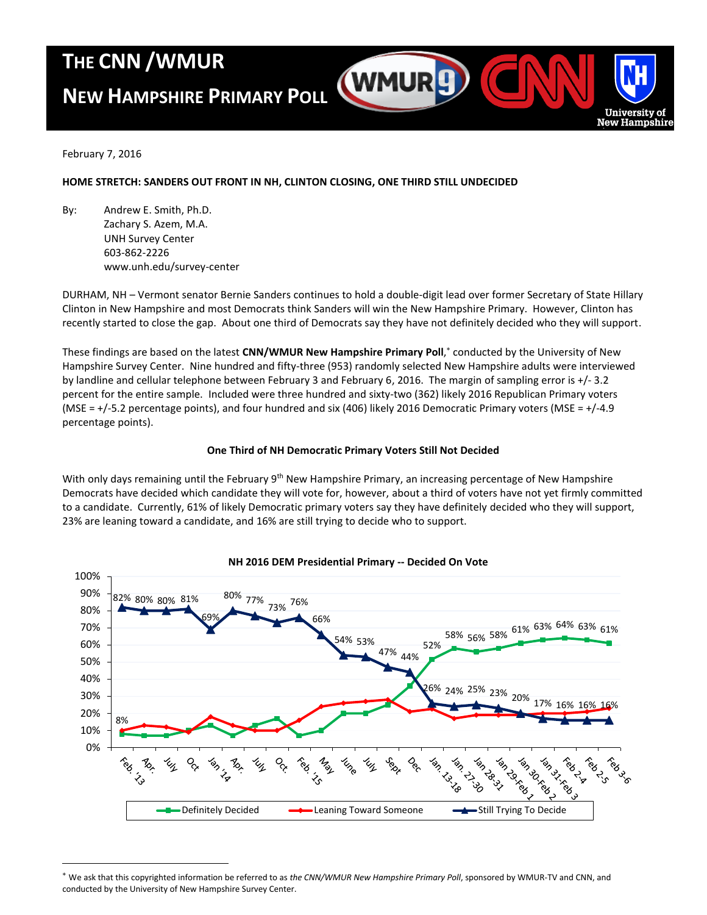## **THE CNN /WMUR**

# **NEW HAMPSHIRE PRIMARY POLL**



February 7, 2016

 $\overline{a}$ 

## **HOME STRETCH: SANDERS OUT FRONT IN NH, CLINTON CLOSING, ONE THIRD STILL UNDECIDED**

By: Andrew E. Smith, Ph.D. Zachary S. Azem, M.A. UNH Survey Center 603-862-2226 www.unh.edu/survey-center

DURHAM, NH – Vermont senator Bernie Sanders continues to hold a double-digit lead over former Secretary of State Hillary Clinton in New Hampshire and most Democrats think Sanders will win the New Hampshire Primary. However, Clinton has recently started to close the gap. About one third of Democrats say they have not definitely decided who they will support.

These findings are based on the latest **CNN/WMUR New Hampshire Primary Poll**, conducted by the University of New Hampshire Survey Center. Nine hundred and fifty-three (953) randomly selected New Hampshire adults were interviewed by landline and cellular telephone between February 3 and February 6, 2016. The margin of sampling error is +/- 3.2 percent for the entire sample. Included were three hundred and sixty-two (362) likely 2016 Republican Primary voters (MSE = +/-5.2 percentage points), and four hundred and six (406) likely 2016 Democratic Primary voters (MSE = +/-4.9 percentage points).

## **One Third of NH Democratic Primary Voters Still Not Decided**

With only days remaining until the February 9<sup>th</sup> New Hampshire Primary, an increasing percentage of New Hampshire Democrats have decided which candidate they will vote for, however, about a third of voters have not yet firmly committed to a candidate. Currently, 61% of likely Democratic primary voters say they have definitely decided who they will support, 23% are leaning toward a candidate, and 16% are still trying to decide who to support.



#### **NH 2016 DEM Presidential Primary -- Decided On Vote**

We ask that this copyrighted information be referred to as *the CNN/WMUR New Hampshire Primary Poll*, sponsored by WMUR-TV and CNN, and conducted by the University of New Hampshire Survey Center.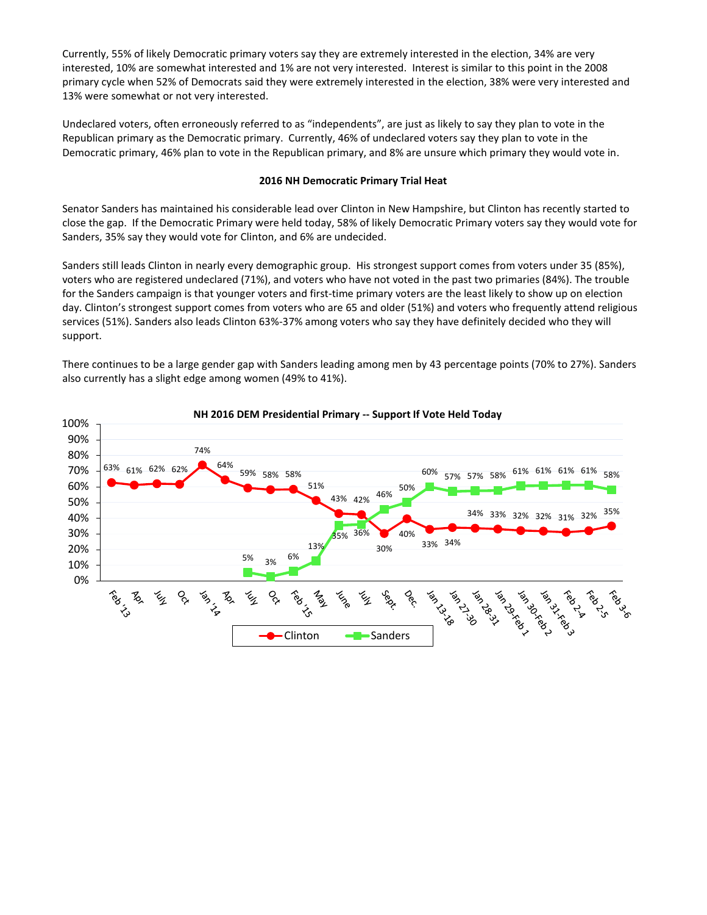Currently, 55% of likely Democratic primary voters say they are extremely interested in the election, 34% are very interested, 10% are somewhat interested and 1% are not very interested. Interest is similar to this point in the 2008 primary cycle when 52% of Democrats said they were extremely interested in the election, 38% were very interested and 13% were somewhat or not very interested.

Undeclared voters, often erroneously referred to as "independents", are just as likely to say they plan to vote in the Republican primary as the Democratic primary. Currently, 46% of undeclared voters say they plan to vote in the Democratic primary, 46% plan to vote in the Republican primary, and 8% are unsure which primary they would vote in.

#### **2016 NH Democratic Primary Trial Heat**

Senator Sanders has maintained his considerable lead over Clinton in New Hampshire, but Clinton has recently started to close the gap. If the Democratic Primary were held today, 58% of likely Democratic Primary voters say they would vote for Sanders, 35% say they would vote for Clinton, and 6% are undecided.

Sanders still leads Clinton in nearly every demographic group. His strongest support comes from voters under 35 (85%), voters who are registered undeclared (71%), and voters who have not voted in the past two primaries (84%). The trouble for the Sanders campaign is that younger voters and first-time primary voters are the least likely to show up on election day. Clinton's strongest support comes from voters who are 65 and older (51%) and voters who frequently attend religious services (51%). Sanders also leads Clinton 63%-37% among voters who say they have definitely decided who they will support.

There continues to be a large gender gap with Sanders leading among men by 43 percentage points (70% to 27%). Sanders also currently has a slight edge among women (49% to 41%).



#### **NH 2016 DEM Presidential Primary -- Support If Vote Held Today**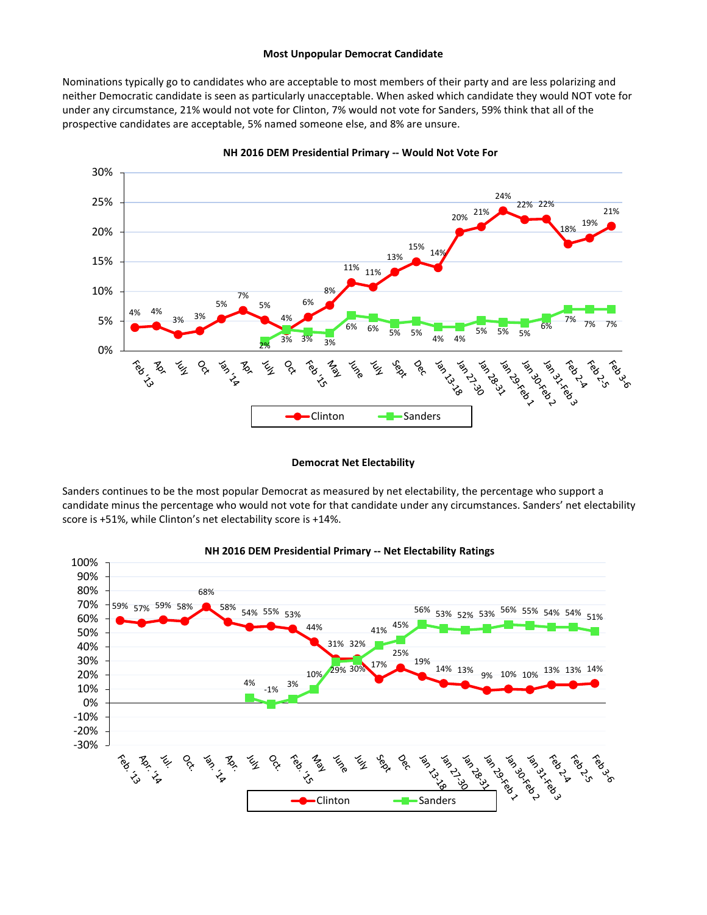#### **Most Unpopular Democrat Candidate**

Nominations typically go to candidates who are acceptable to most members of their party and are less polarizing and neither Democratic candidate is seen as particularly unacceptable. When asked which candidate they would NOT vote for under any circumstance, 21% would not vote for Clinton, 7% would not vote for Sanders, 59% think that all of the prospective candidates are acceptable, 5% named someone else, and 8% are unsure.



**NH 2016 DEM Presidential Primary -- Would Not Vote For**

#### **Democrat Net Electability**

Sanders continues to be the most popular Democrat as measured by net electability, the percentage who support a candidate minus the percentage who would not vote for that candidate under any circumstances. Sanders' net electability score is +51%, while Clinton's net electability score is +14%.



#### **NH 2016 DEM Presidential Primary -- Net Electability Ratings**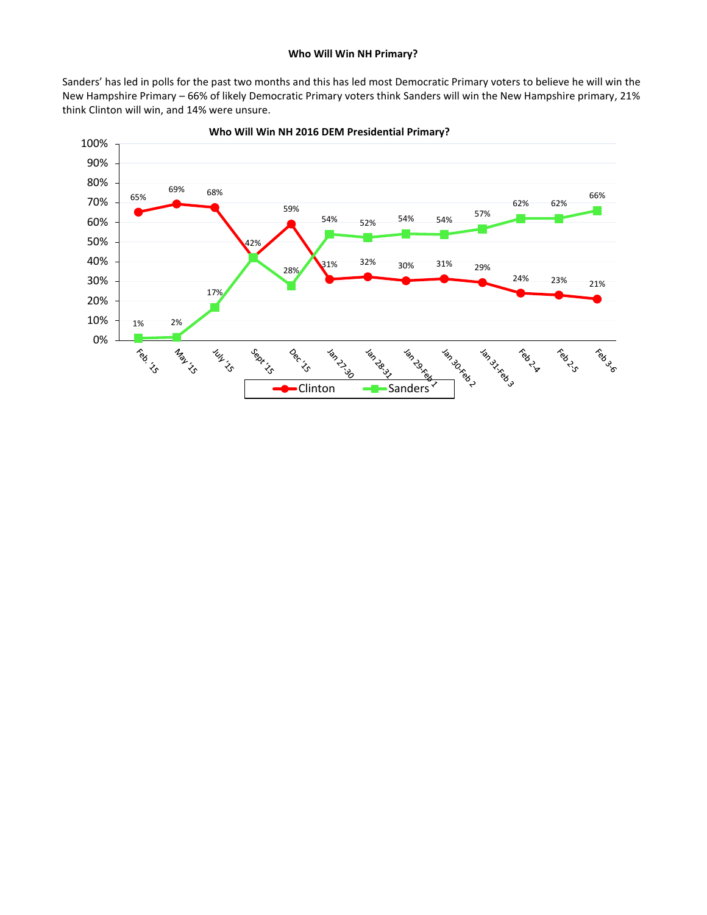Sanders' has led in polls for the past two months and this has led most Democratic Primary voters to believe he will win the New Hampshire Primary – 66% of likely Democratic Primary voters think Sanders will win the New Hampshire primary, 21% think Clinton will win, and 14% were unsure.



**Who Will Win NH 2016 DEM Presidential Primary?**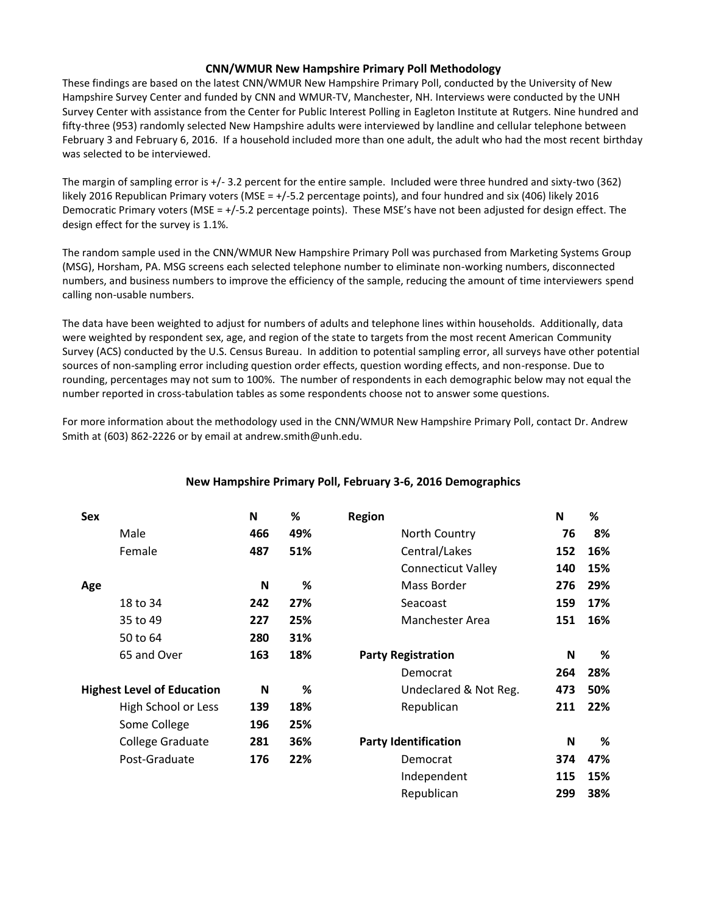## **CNN/WMUR New Hampshire Primary Poll Methodology**

These findings are based on the latest CNN/WMUR New Hampshire Primary Poll, conducted by the University of New Hampshire Survey Center and funded by CNN and WMUR-TV, Manchester, NH. Interviews were conducted by the UNH Survey Center with assistance from the Center for Public Interest Polling in Eagleton Institute at Rutgers. Nine hundred and fifty-three (953) randomly selected New Hampshire adults were interviewed by landline and cellular telephone between February 3 and February 6, 2016. If a household included more than one adult, the adult who had the most recent birthday was selected to be interviewed.

The margin of sampling error is +/- 3.2 percent for the entire sample. Included were three hundred and sixty-two (362) likely 2016 Republican Primary voters (MSE = +/-5.2 percentage points), and four hundred and six (406) likely 2016 Democratic Primary voters (MSE = +/-5.2 percentage points). These MSE's have not been adjusted for design effect. The design effect for the survey is 1.1%.

The random sample used in the CNN/WMUR New Hampshire Primary Poll was purchased from Marketing Systems Group (MSG), Horsham, PA. MSG screens each selected telephone number to eliminate non-working numbers, disconnected numbers, and business numbers to improve the efficiency of the sample, reducing the amount of time interviewers spend calling non-usable numbers.

The data have been weighted to adjust for numbers of adults and telephone lines within households. Additionally, data were weighted by respondent sex, age, and region of the state to targets from the most recent American Community Survey (ACS) conducted by the U.S. Census Bureau. In addition to potential sampling error, all surveys have other potential sources of non-sampling error including question order effects, question wording effects, and non-response. Due to rounding, percentages may not sum to 100%. The number of respondents in each demographic below may not equal the number reported in cross-tabulation tables as some respondents choose not to answer some questions.

For more information about the methodology used in the CNN/WMUR New Hampshire Primary Poll, contact Dr. Andrew Smith at (603) 862-2226 or by email at andrew.smith@unh.edu.

| <b>Sex</b> |                                   | N   | %   | <b>Region</b>               | N   | %   |
|------------|-----------------------------------|-----|-----|-----------------------------|-----|-----|
|            | Male                              | 466 | 49% | North Country               | 76  | 8%  |
|            | Female                            | 487 | 51% | Central/Lakes               | 152 | 16% |
|            |                                   |     |     | <b>Connecticut Valley</b>   | 140 | 15% |
| Age        |                                   | N   | %   | Mass Border                 | 276 | 29% |
|            | 18 to 34                          | 242 | 27% | Seacoast                    | 159 | 17% |
|            | 35 to 49                          | 227 | 25% | Manchester Area             | 151 | 16% |
|            | 50 to 64                          | 280 | 31% |                             |     |     |
|            | 65 and Over                       | 163 | 18% | <b>Party Registration</b>   | N   | %   |
|            |                                   |     |     | Democrat                    | 264 | 28% |
|            | <b>Highest Level of Education</b> | N   | %   | Undeclared & Not Reg.       | 473 | 50% |
|            | High School or Less               | 139 | 18% | Republican                  | 211 | 22% |
|            | Some College                      | 196 | 25% |                             |     |     |
|            | College Graduate                  | 281 | 36% | <b>Party Identification</b> | N   | %   |
|            | Post-Graduate                     | 176 | 22% | Democrat                    | 374 | 47% |
|            |                                   |     |     | Independent                 | 115 | 15% |
|            |                                   |     |     | Republican                  | 299 | 38% |

## **New Hampshire Primary Poll, February 3-6, 2016 Demographics**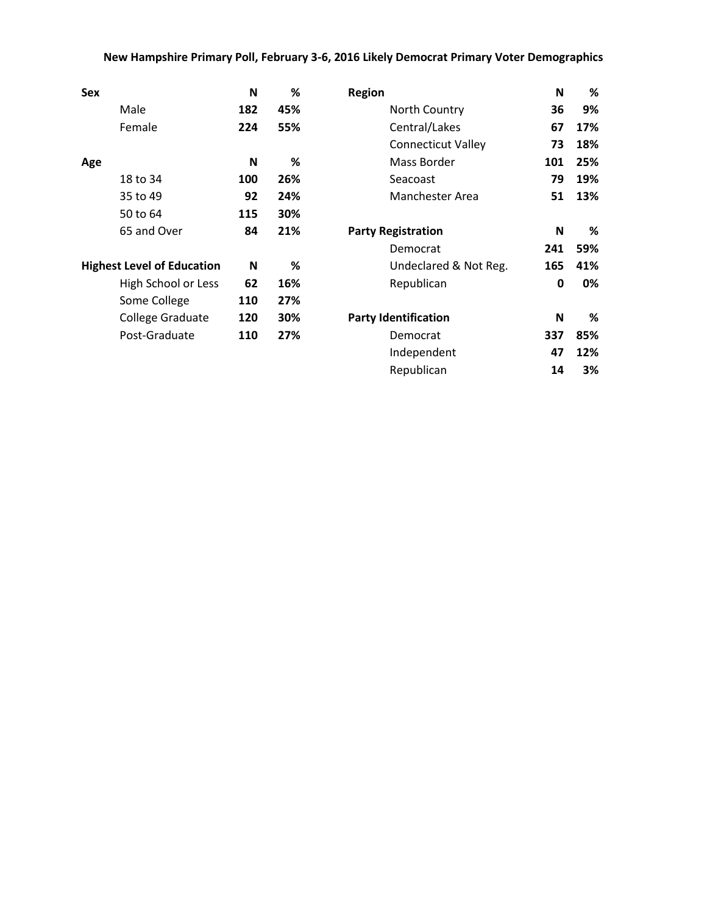## **New Hampshire Primary Poll, February 3-6, 2016 Likely Democrat Primary Voter Demographics**

| <b>Sex</b>                        | N   | %   | <b>Region</b>               | N   | %   |
|-----------------------------------|-----|-----|-----------------------------|-----|-----|
| Male                              | 182 | 45% | North Country               | 36  | 9%  |
| Female                            | 224 | 55% | Central/Lakes               | 67  | 17% |
|                                   |     |     | <b>Connecticut Valley</b>   | 73  | 18% |
| Age                               | N   | %   | Mass Border                 | 101 | 25% |
| 18 to 34                          | 100 | 26% | Seacoast                    | 79  | 19% |
| 35 to 49                          | 92  | 24% | Manchester Area             | 51  | 13% |
| 50 to 64                          | 115 | 30% |                             |     |     |
| 65 and Over                       | 84  | 21% | <b>Party Registration</b>   | N   | %   |
|                                   |     |     | Democrat                    | 241 | 59% |
| <b>Highest Level of Education</b> | N   | ℅   | Undeclared & Not Reg.       | 165 | 41% |
| High School or Less               | 62  | 16% | Republican                  | 0   | 0%  |
| Some College                      | 110 | 27% |                             |     |     |
| College Graduate                  | 120 | 30% | <b>Party Identification</b> | N   | %   |
| Post-Graduate                     | 110 | 27% | Democrat                    | 337 | 85% |
|                                   |     |     | Independent                 | 47  | 12% |
|                                   |     |     | Republican                  | 14  | 3%  |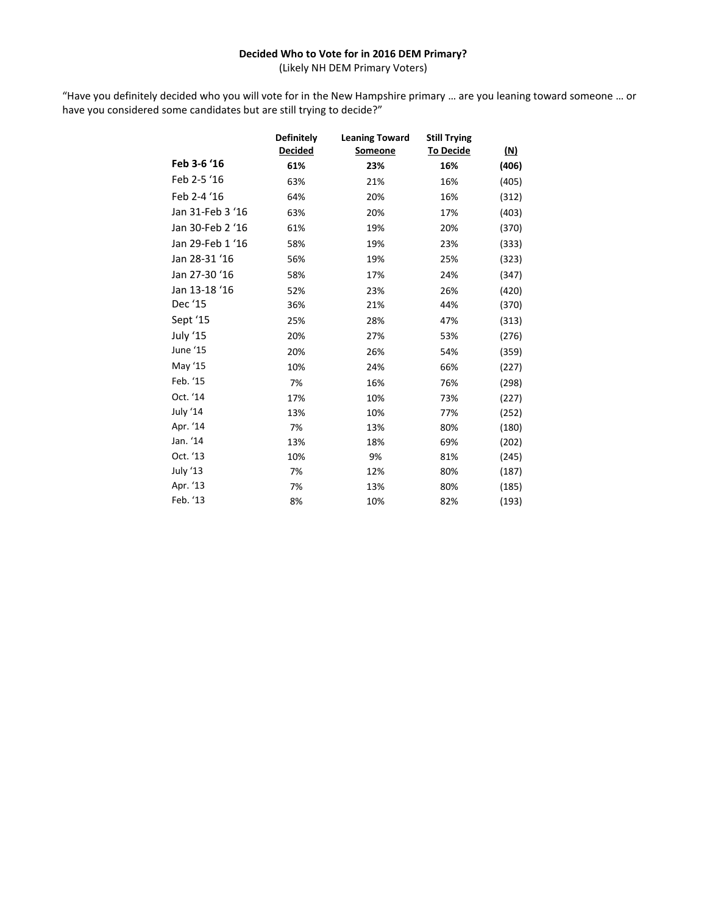## **Decided Who to Vote for in 2016 DEM Primary?**

(Likely NH DEM Primary Voters)

"Have you definitely decided who you will vote for in the New Hampshire primary … are you leaning toward someone … or have you considered some candidates but are still trying to decide?"

|                  | <b>Definitely</b> | <b>Leaning Toward</b> | <b>Still Trying</b> |            |
|------------------|-------------------|-----------------------|---------------------|------------|
|                  | <b>Decided</b>    | Someone               | <b>To Decide</b>    | <u>(N)</u> |
| Feb 3-6 '16      | 61%               | 23%                   | 16%                 | (406)      |
| Feb 2-5 '16      | 63%               | 21%                   | 16%                 | (405)      |
| Feb 2-4 '16      | 64%               | 20%                   | 16%                 | (312)      |
| Jan 31-Feb 3 '16 | 63%               | 20%                   | 17%                 | (403)      |
| Jan 30-Feb 2 '16 | 61%               | 19%                   | 20%                 | (370)      |
| Jan 29-Feb 1 '16 | 58%               | 19%                   | 23%                 | (333)      |
| Jan 28-31 '16    | 56%               | 19%                   | 25%                 | (323)      |
| Jan 27-30 '16    | 58%               | 17%                   | 24%                 | (347)      |
| Jan 13-18 '16    | 52%               | 23%                   | 26%                 | (420)      |
| Dec '15          | 36%               | 21%                   | 44%                 | (370)      |
| Sept '15         | 25%               | 28%                   | 47%                 | (313)      |
| July '15         | 20%               | 27%                   | 53%                 | (276)      |
| June '15         | 20%               | 26%                   | 54%                 | (359)      |
| May '15          | 10%               | 24%                   | 66%                 | (227)      |
| Feb. '15         | 7%                | 16%                   | 76%                 | (298)      |
| Oct. '14         | 17%               | 10%                   | 73%                 | (227)      |
| July '14         | 13%               | 10%                   | 77%                 | (252)      |
| Apr. '14         | 7%                | 13%                   | 80%                 | (180)      |
| Jan. '14         | 13%               | 18%                   | 69%                 | (202)      |
| Oct. '13         | 10%               | 9%                    | 81%                 | (245)      |
| July '13         | 7%                | 12%                   | 80%                 | (187)      |
| Apr. '13         | 7%                | 13%                   | 80%                 | (185)      |
| Feb. '13         | 8%                | 10%                   | 82%                 | (193)      |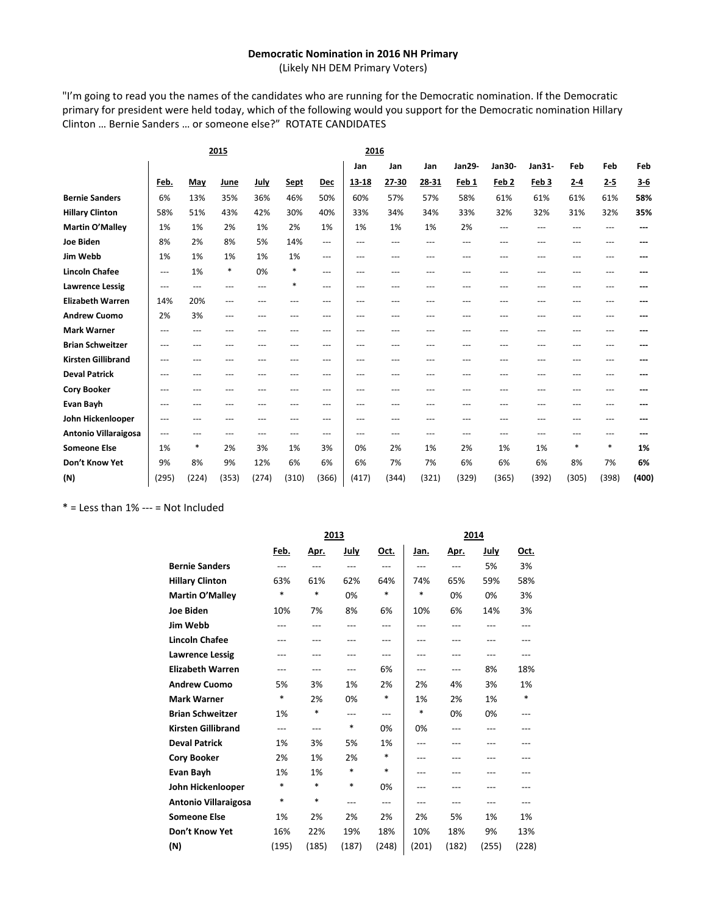#### **Democratic Nomination in 2016 NH Primary**

(Likely NH DEM Primary Voters)

"I'm going to read you the names of the candidates who are running for the Democratic nomination. If the Democratic primary for president were held today, which of the following would you support for the Democratic nomination Hillary Clinton … Bernie Sanders … or someone else?" ROTATE CANDIDATES

|                           |       | 2015   |       |             |             |            | 2016  |                   |       |        |                  |        |         |         |       |
|---------------------------|-------|--------|-------|-------------|-------------|------------|-------|-------------------|-------|--------|------------------|--------|---------|---------|-------|
|                           |       |        |       |             |             |            | Jan   | Jan               | Jan   | Jan29- | Jan30-           | Jan31- | Feb     | Feb     | Feb   |
|                           | Feb.  | May    | June  | <u>July</u> | <b>Sept</b> | <b>Dec</b> | 13-18 | 27-30             | 28-31 | Feb 1  | Feb <sub>2</sub> | Feb 3  | $2 - 4$ | $2 - 5$ | $3-6$ |
| <b>Bernie Sanders</b>     | 6%    | 13%    | 35%   | 36%         | 46%         | 50%        | 60%   | 57%               | 57%   | 58%    | 61%              | 61%    | 61%     | 61%     | 58%   |
| <b>Hillary Clinton</b>    | 58%   | 51%    | 43%   | 42%         | 30%         | 40%        | 33%   | 34%               | 34%   | 33%    | 32%              | 32%    | 31%     | 32%     | 35%   |
| <b>Martin O'Malley</b>    | 1%    | 1%     | 2%    | 1%          | 2%          | 1%         | 1%    | 1%                | 1%    | 2%     | $---$            | ---    |         | ---     |       |
| <b>Joe Biden</b>          | 8%    | 2%     | 8%    | 5%          | 14%         | ---        | ---   | ---               | ---   | ---    |                  |        |         | ---     |       |
| Jim Webb                  | 1%    | 1%     | 1%    | 1%          | 1%          | ---        | ---   | $\qquad \qquad -$ | $---$ | ---    | ---              | ---    |         | ---     |       |
| <b>Lincoln Chafee</b>     | ---   | 1%     | *     | 0%          | *           | ---        | ---   | ---               | ---   | ---    | ---              | ---    |         | ---     |       |
| <b>Lawrence Lessig</b>    | ---   | ---    | ---   | ---         | *           | ---        | ---   | ---               | ---   | ---    |                  | ---    |         | ---     |       |
| <b>Elizabeth Warren</b>   | 14%   | 20%    | ---   |             | ---         | ---        | ---   | ---               | ---   |        | ---              | ---    |         | ---     |       |
| <b>Andrew Cuomo</b>       | 2%    | 3%     | ---   | ---         | ---         | ---        | ---   | ---               | ---   | ---    |                  |        |         | ---     |       |
| <b>Mark Warner</b>        | ---   | ---    | ---   | ---         | ---         | ---        | ---   | ---               | ---   | ---    | ---              | ---    |         | ---     |       |
| <b>Brian Schweitzer</b>   |       | ---    |       |             | ---         | ---        | ---   | ---               | ---   |        |                  |        |         |         |       |
| <b>Kirsten Gillibrand</b> | ---   |        |       |             | ---         | ---        | ---   | ---               | ---   |        |                  |        |         | ---     |       |
| <b>Deval Patrick</b>      | ---   | ---    | ---   | ---         | ---         | ---        | ---   | ---               | ---   | ---    | ---              | ---    |         | ---     |       |
| <b>Cory Booker</b>        | ---   |        |       |             |             | ---        | ---   | ---               | ---   | ---    |                  |        |         | ---     |       |
| Evan Bayh                 | ---   | ---    |       | ---         | ---         | ---        | ---   | ---               | ---   | ---    |                  |        |         | ---     |       |
| John Hickenlooper         | ---   | ---    |       |             | ---         | ---        | ---   | ---               | ---   | ---    | ---              |        |         | ---     |       |
| Antonio Villaraigosa      | ---   |        | ---   | $-$ --      | $---$       | ---        | ---   | ---               | ---   | ---    | ---              |        |         | ---     |       |
| <b>Someone Else</b>       | 1%    | $\ast$ | 2%    | 3%          | 1%          | 3%         | 0%    | 2%                | 1%    | 2%     | 1%               | 1%     | $\ast$  | $\ast$  | 1%    |
| Don't Know Yet            | 9%    | 8%     | 9%    | 12%         | 6%          | 6%         | 6%    | 7%                | 7%    | 6%     | 6%               | 6%     | 8%      | 7%      | 6%    |
| (N)                       | (295) | (224)  | (353) | (274)       | (310)       | (366)      | (417) | (344)             | (321) | (329)  | (365)            | (392)  | (305)   | (398)   | (400) |

 $*$  = Less than 1% --- = Not Included

|                             | 2013   |       |             |        |       |       | 2014  |       |
|-----------------------------|--------|-------|-------------|--------|-------|-------|-------|-------|
|                             | Feb.   | Apr.  | <b>July</b> | Oct.   | Jan.  | Apr.  | July  | Oct.  |
| <b>Bernie Sanders</b>       | $---$  | $---$ | $---$       | $---$  | ---   | $---$ | 5%    | 3%    |
| <b>Hillary Clinton</b>      | 63%    | 61%   | 62%         | 64%    | 74%   | 65%   | 59%   | 58%   |
| Martin O'Malley             | $\ast$ | *     | 0%          | $\ast$ | *     | 0%    | 0%    | 3%    |
| <b>Joe Biden</b>            | 10%    | 7%    | 8%          | 6%     | 10%   | 6%    | 14%   | 3%    |
| Jim Webb                    | ---    | ---   | $---$       | $---$  | ---   | $---$ |       | $---$ |
| <b>Lincoln Chafee</b>       |        |       |             | ---    | $---$ |       |       |       |
| <b>Lawrence Lessig</b>      | ---    | ---   | ---         | ---    | ---   | ---   | ---   |       |
| <b>Elizabeth Warren</b>     | ---    | ---   | $---$       | 6%     | ---   | ---   | 8%    | 18%   |
| <b>Andrew Cuomo</b>         | 5%     | 3%    | 1%          | 2%     | 2%    | 4%    | 3%    | 1%    |
| <b>Mark Warner</b>          | *      | 2%    | 0%          | *      | 1%    | 2%    | 1%    | *     |
| <b>Brian Schweitzer</b>     | 1%     | *     | ---         | $---$  | *     | 0%    | 0%    | ---   |
| <b>Kirsten Gillibrand</b>   | $---$  | ---   | *           | 0%     | 0%    | $---$ | $---$ |       |
| <b>Deval Patrick</b>        | 1%     | 3%    | 5%          | 1%     | $---$ | ---   |       |       |
| <b>Cory Booker</b>          | 2%     | 1%    | 2%          | $\ast$ | ---   |       |       |       |
| Evan Bayh                   | 1%     | 1%    | $\ast$      | $\ast$ | ---   | ---   | ---   |       |
| John Hickenlooper           | *      | *     | *           | 0%     | ---   |       |       |       |
| <b>Antonio Villaraigosa</b> | *      | *     | $---$       | $---$  | $---$ | ---   | $---$ | ---   |
| <b>Someone Else</b>         | 1%     | 2%    | 2%          | 2%     | 2%    | 5%    | 1%    | 1%    |
| Don't Know Yet              | 16%    | 22%   | 19%         | 18%    | 10%   | 18%   | 9%    | 13%   |
| (N)                         | (195)  | (185) | (187)       | (248)  | (201) | (182) | (255) | (228) |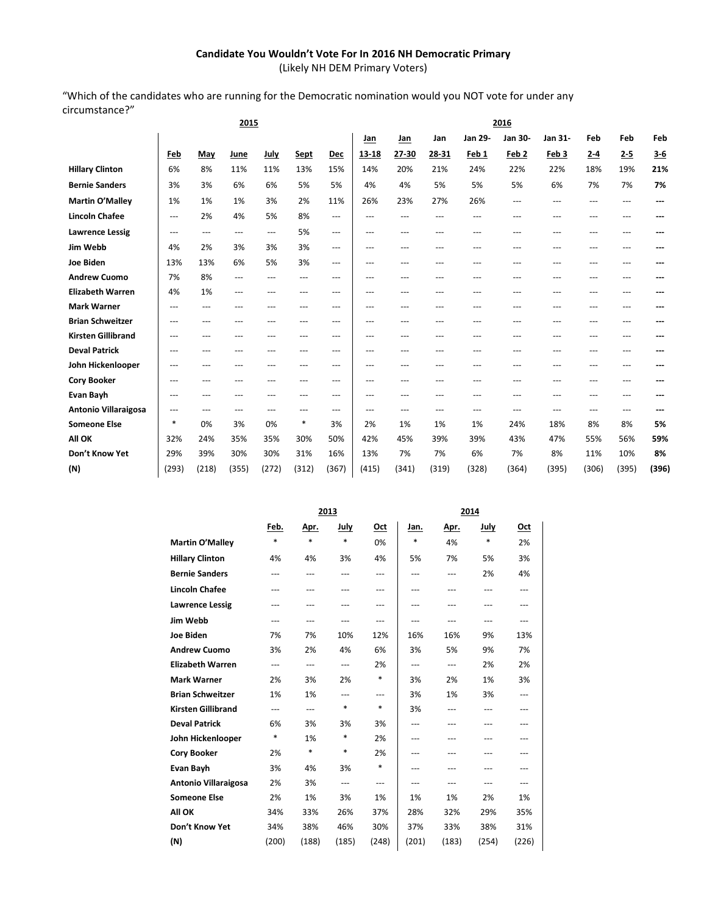## **Candidate You Wouldn't Vote For In 2016 NH Democratic Primary**

(Likely NH DEM Primary Voters)

"Which of the candidates who are running for the Democratic nomination would you NOT vote for under any circumstance?"

|                           |          |                   | 2015              |                   |       |       | 2016              |       |       |          |                  |                  |         |         |         |
|---------------------------|----------|-------------------|-------------------|-------------------|-------|-------|-------------------|-------|-------|----------|------------------|------------------|---------|---------|---------|
|                           |          |                   |                   |                   |       |       | Jan               | Jan   | Jan   | Jan 29-  | Jan 30-          | Jan 31-          | Feb     | Feb     | Feb     |
|                           | Feb      | May               | June              | July              | Sept  | Dec   | $13 - 18$         | 27-30 | 28-31 | Feb 1    | Feb <sub>2</sub> | Feb <sub>3</sub> | $2 - 4$ | $2 - 5$ | $3 - 6$ |
| <b>Hillary Clinton</b>    | 6%       | 8%                | 11%               | 11%               | 13%   | 15%   | 14%               | 20%   | 21%   | 24%      | 22%              | 22%              | 18%     | 19%     | 21%     |
| <b>Bernie Sanders</b>     | 3%       | 3%                | 6%                | 6%                | 5%    | 5%    | 4%                | 4%    | 5%    | 5%       | 5%               | 6%               | 7%      | 7%      | 7%      |
| Martin O'Malley           | 1%       | 1%                | 1%                | 3%                | 2%    | 11%   | 26%               | 23%   | 27%   | 26%      | ---              | ---              | $---$   | $---$   | ---     |
| <b>Lincoln Chafee</b>     | $---$    | 2%                | 4%                | 5%                | 8%    | ---   | $---$             | ---   | ---   | ---      | ---              |                  | ---     | ---     |         |
| <b>Lawrence Lessig</b>    | $---$    | $\qquad \qquad -$ | $\qquad \qquad -$ | $\qquad \qquad -$ | 5%    | ---   | $\qquad \qquad -$ | ---   | ---   | $---$    | ---              | ---              | ---     | ---     |         |
| Jim Webb                  | 4%       | 2%                | 3%                | 3%                | 3%    | ---   | $\cdots$          | $---$ | ---   | ---      | $---$            | ---              | ---     | ---     |         |
| <b>Joe Biden</b>          | 13%      | 13%               | 6%                | 5%                | 3%    | ---   | $---$             | ---   | ---   | $---$    | ---              | ---              | ---     | ---     |         |
| <b>Andrew Cuomo</b>       | 7%       | 8%                | ---               | ---               | ---   | ---   | $\qquad \qquad -$ | ---   | ---   | $---$    | ---              | ---              | $---$   | ---     |         |
| <b>Elizabeth Warren</b>   | 4%       | 1%                | ---               | ---               | ---   | ---   | $\cdots$          | ---   | ---   | $---$    | $---$            | ---              | $---$   | ---     |         |
| <b>Mark Warner</b>        | $\cdots$ | $\qquad \qquad -$ | ---               | ---               | ---   | ---   | $\cdots$          | ---   | ---   | $\cdots$ | $---$            | ---              | $---$   | $---$   | ---     |
| <b>Brian Schweitzer</b>   | ---      | ---               | ---               | ---               | ---   | ---   | $---$             | ---   | ---   | ---      | ---              | ---              | ---     | ---     |         |
| <b>Kirsten Gillibrand</b> | $---$    | ---               | ---               | ---               | ---   | ---   | ---               | ---   | ---   | ---      | ---              | ---              | ---     | ---     |         |
| <b>Deval Patrick</b>      | ---      | ---               |                   | ---               | ---   | ---   | $---$             | ---   | ---   | ---      | ---              |                  | ---     | ---     |         |
| John Hickenlooper         | ---      | ---               |                   | ---               | ---   | ---   | $---$             | ---   | ---   | ---      |                  |                  | ---     | ---     |         |
| <b>Cory Booker</b>        | $---$    | ---               | ---               | ---               | ---   | $---$ | $---$             | ---   | ---   | $---$    | ---              | ---              | ---     | ---     |         |
| <b>Evan Bayh</b>          | $---$    | $---$             | ---               | ---               | ---   | $---$ | $---$             | ---   | ---   | ---      | ---              | $-$ --           | ---     | ---     |         |
| Antonio Villaraigosa      | $---$    | $---$             | $---$             | ---               | ---   | $---$ | $---$             | ---   | ---   | $---$    | ---              | ---              | $---$   | ---     |         |
| <b>Someone Else</b>       | $\ast$   | 0%                | 3%                | 0%                | *     | 3%    | 2%                | 1%    | 1%    | 1%       | 24%              | 18%              | 8%      | 8%      | 5%      |
| All OK                    | 32%      | 24%               | 35%               | 35%               | 30%   | 50%   | 42%               | 45%   | 39%   | 39%      | 43%              | 47%              | 55%     | 56%     | 59%     |
| Don't Know Yet            | 29%      | 39%               | 30%               | 30%               | 31%   | 16%   | 13%               | 7%    | 7%    | 6%       | 7%               | 8%               | 11%     | 10%     | 8%      |
| (N)                       | (293)    | (218)             | (355)             | (272)             | (312) | (367) | (415)             | (341) | (319) | (328)    | (364)            | (395)            | (306)   | (395)   | (396)   |
|                           |          |                   |                   |                   |       |       |                   |       |       |          |                  |                  |         |         |         |

|                           |        |             | 2013   |            |        |             | 2014        |            |
|---------------------------|--------|-------------|--------|------------|--------|-------------|-------------|------------|
|                           | Feb.   | <u>Apr.</u> | July   | <u>Oct</u> | Jan.   | <u>Apr.</u> | <u>July</u> | <u>Oct</u> |
| Martin O'Malley           | $\ast$ | $\ast$      | $\ast$ | 0%         | $\ast$ | 4%          | *           | 2%         |
| <b>Hillary Clinton</b>    | 4%     | 4%          | 3%     | 4%         | 5%     | 7%          | 5%          | 3%         |
| <b>Bernie Sanders</b>     | ---    | ---         | $---$  | ---        | ---    | ---         | 2%          | 4%         |
| <b>Lincoln Chafee</b>     | ---    | $---$       | $---$  | ---        | ---    | ---         | ---         | ---        |
| <b>Lawrence Lessig</b>    | ---    | ---         | ---    | ---        | ---    | ---         | ---         | ---        |
| Jim Webb                  | ---    | $---$       | $---$  | $---$      | ---    | ---         | $---$       | ---        |
| <b>Joe Biden</b>          | 7%     | 7%          | 10%    | 12%        | 16%    | 16%         | 9%          | 13%        |
| <b>Andrew Cuomo</b>       | 3%     | 2%          | 4%     | 6%         | 3%     | 5%          | 9%          | 7%         |
| <b>Elizabeth Warren</b>   | $---$  | ---         | $---$  | 2%         | ---    | ---         | 2%          | 2%         |
| <b>Mark Warner</b>        | 2%     | 3%          | 2%     | *          | 3%     | 2%          | 1%          | 3%         |
| <b>Brian Schweitzer</b>   | 1%     | 1%          | ---    | ---        | 3%     | 1%          | 3%          | ---        |
| <b>Kirsten Gillibrand</b> | $---$  | $---$       | $\ast$ | *          | 3%     | ---         | ---         | ---        |
| <b>Deval Patrick</b>      | 6%     | 3%          | 3%     | 3%         | ---    | ---         | ---         | ---        |
| John Hickenlooper         | *      | 1%          | *      | 2%         | ---    | ---         | ---         | ---        |
| <b>Cory Booker</b>        | 2%     | *           | $\ast$ | 2%         | ---    | ---         | ---         | ---        |
| <b>Evan Bayh</b>          | 3%     | 4%          | 3%     | *          | ---    | ---         | ---         | ---        |
| Antonio Villaraigosa      | 2%     | 3%          | $---$  | ---        | ---    | ---         | ---         | ---        |
| <b>Someone Else</b>       | 2%     | 1%          | 3%     | 1%         | 1%     | 1%          | 2%          | 1%         |
| All OK                    | 34%    | 33%         | 26%    | 37%        | 28%    | 32%         | 29%         | 35%        |
| Don't Know Yet            | 34%    | 38%         | 46%    | 30%        | 37%    | 33%         | 38%         | 31%        |
| (N)                       | (200)  | (188)       | (185)  | (248)      | (201)  | (183)       | (254)       | (226)      |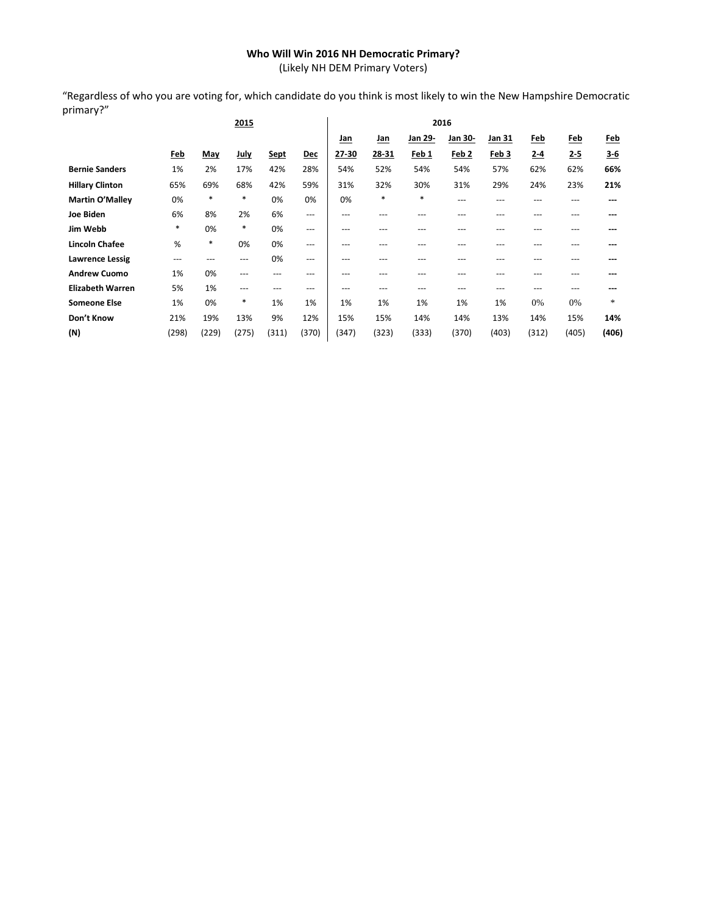## **Who Will Win 2016 NH Democratic Primary?**

(Likely NH DEM Primary Voters)

"Regardless of who you are voting for, which candidate do you think is most likely to win the New Hampshire Democratic primary?"

|                         |            |        | 2015        |             |            |            |            |         | 2016             |        |            |            |            |
|-------------------------|------------|--------|-------------|-------------|------------|------------|------------|---------|------------------|--------|------------|------------|------------|
|                         |            |        |             |             |            | <u>Jan</u> | <u>Jan</u> | Jan 29- | Jan 30-          | Jan 31 | <u>Feb</u> | <u>Feb</u> | <u>Feb</u> |
|                         | <u>Feb</u> | May    | <b>July</b> | <b>Sept</b> | <b>Dec</b> | 27-30      | 28-31      | Feb 1   | Feb <sub>2</sub> | Feb 3  | $2 - 4$    | $2 - 5$    | $3-6$      |
| <b>Bernie Sanders</b>   | 1%         | 2%     | 17%         | 42%         | 28%        | 54%        | 52%        | 54%     | 54%              | 57%    | 62%        | 62%        | 66%        |
| <b>Hillary Clinton</b>  | 65%        | 69%    | 68%         | 42%         | 59%        | 31%        | 32%        | 30%     | 31%              | 29%    | 24%        | 23%        | 21%        |
| <b>Martin O'Malley</b>  | 0%         | $\ast$ | *           | 0%          | 0%         | 0%         | *          | $\ast$  | $---$            | ---    | ---        | ---        |            |
| Joe Biden               | 6%         | 8%     | 2%          | 6%          | $---$      | ---        | ---        |         | ---              | ---    | ---        | ---        |            |
| Jim Webb                | *          | 0%     | *           | 0%          | $---$      | ---        | ---        | ---     | ---              | ---    | ---        | ---        |            |
| Lincoln Chafee          | %          | $\ast$ | 0%          | 0%          | $---$      | $---$      | ---        | ---     | ---              | ---    | ---        | ---        |            |
| <b>Lawrence Lessig</b>  | $---$      | ---    | ---         | 0%          | $---$      | $---$      | ---        | ---     | ---              | ---    | ---        | ---        |            |
| <b>Andrew Cuomo</b>     | 1%         | 0%     | ---         | ---         | ---        | $---$      | ---        | ---     | ---              | ---    | ---        | $---$      |            |
| <b>Elizabeth Warren</b> | 5%         | 1%     | $---$       | ---         | ---        | $---$      | $---$      | $- - -$ | ---              | ---    | ---        | ---        |            |
| <b>Someone Else</b>     | 1%         | 0%     | *           | 1%          | 1%         | 1%         | 1%         | 1%      | 1%               | 1%     | 0%         | 0%         | $\ast$     |
| Don't Know              | 21%        | 19%    | 13%         | 9%          | 12%        | 15%        | 15%        | 14%     | 14%              | 13%    | 14%        | 15%        | 14%        |
| (N)                     | (298)      | (229)  | (275)       | (311)       | (370)      | (347)      | (323)      | (333)   | (370)            | (403)  | (312)      | (405)      | (406)      |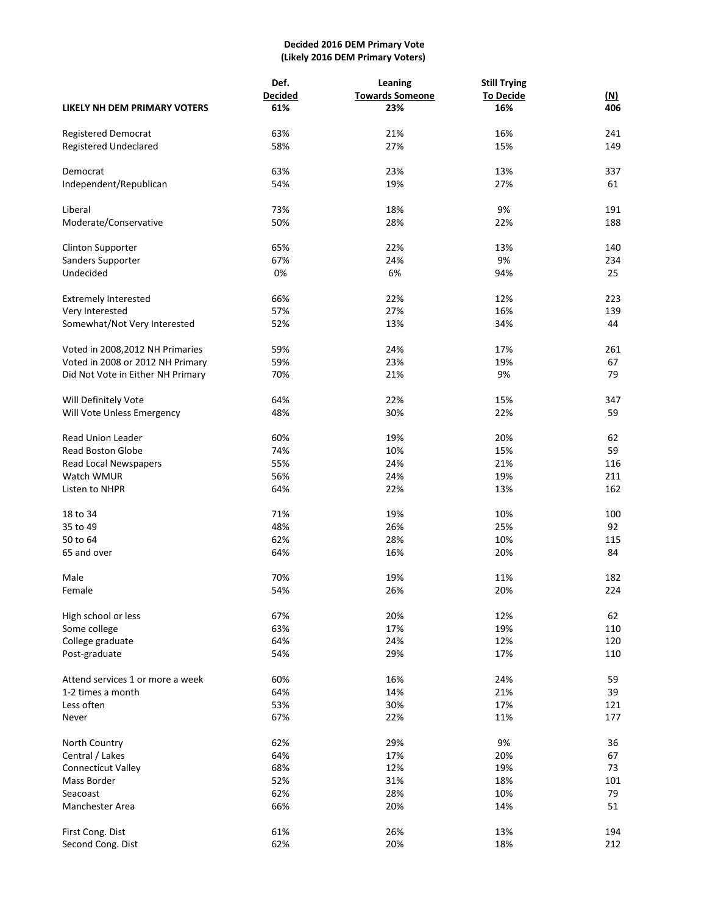## **Decided 2016 DEM Primary Vote (Likely 2016 DEM Primary Voters)**

|                                   | Def.           | Leaning                | <b>Still Trying</b> |            |
|-----------------------------------|----------------|------------------------|---------------------|------------|
|                                   | <b>Decided</b> | <b>Towards Someone</b> | <b>To Decide</b>    | <u>(N)</u> |
| LIKELY NH DEM PRIMARY VOTERS      | 61%            | 23%                    | 16%                 | 406        |
| <b>Registered Democrat</b>        | 63%            | 21%                    | 16%                 | 241        |
|                                   |                |                        |                     |            |
| Registered Undeclared             | 58%            | 27%                    | 15%                 | 149        |
| Democrat                          | 63%            | 23%                    | 13%                 | 337        |
| Independent/Republican            | 54%            | 19%                    | 27%                 | 61         |
|                                   |                |                        |                     |            |
| Liberal                           | 73%            | 18%                    | 9%                  | 191        |
| Moderate/Conservative             | 50%            | 28%                    | 22%                 | 188        |
| <b>Clinton Supporter</b>          | 65%            | 22%                    | 13%                 | 140        |
| Sanders Supporter                 | 67%            | 24%                    | 9%                  | 234        |
| Undecided                         | 0%             | 6%                     | 94%                 | 25         |
|                                   |                |                        |                     |            |
| <b>Extremely Interested</b>       | 66%            | 22%                    | 12%                 | 223        |
| Very Interested                   | 57%            | 27%                    | 16%                 | 139        |
| Somewhat/Not Very Interested      | 52%            | 13%                    | 34%                 | 44         |
| Voted in 2008, 2012 NH Primaries  | 59%            | 24%                    | 17%                 | 261        |
| Voted in 2008 or 2012 NH Primary  | 59%            | 23%                    | 19%                 | 67         |
| Did Not Vote in Either NH Primary | 70%            | 21%                    | 9%                  | 79         |
|                                   |                |                        |                     |            |
| Will Definitely Vote              | 64%            | 22%                    | 15%                 | 347        |
| Will Vote Unless Emergency        | 48%            | 30%                    | 22%                 | 59         |
|                                   |                |                        |                     |            |
| <b>Read Union Leader</b>          | 60%            | 19%                    | 20%                 | 62         |
| <b>Read Boston Globe</b>          | 74%            | 10%                    | 15%                 | 59         |
| Read Local Newspapers             | 55%            | 24%                    | 21%                 | 116        |
| Watch WMUR                        | 56%            | 24%                    | 19%                 | 211        |
| Listen to NHPR                    | 64%            | 22%                    | 13%                 | 162        |
|                                   |                |                        |                     |            |
| 18 to 34                          | 71%            | 19%                    | 10%                 | 100        |
| 35 to 49                          | 48%            | 26%                    | 25%                 | 92         |
| 50 to 64                          | 62%            | 28%                    | 10%                 | 115        |
| 65 and over                       | 64%            | 16%                    | 20%                 | 84         |
| Male                              | 70%            | 19%                    | 11%                 | 182        |
| Female                            | 54%            | 26%                    | 20%                 | 224        |
|                                   |                |                        |                     |            |
| High school or less               | 67%            | 20%                    | 12%                 | 62         |
| Some college                      | 63%            | 17%                    | 19%                 | 110        |
| College graduate                  | 64%            | 24%                    | 12%                 | 120        |
| Post-graduate                     | 54%            | 29%                    | 17%                 | 110        |
| Attend services 1 or more a week  | 60%            | 16%                    | 24%                 | 59         |
| 1-2 times a month                 | 64%            | 14%                    | 21%                 | 39         |
| Less often                        | 53%            | 30%                    | 17%                 | 121        |
| Never                             | 67%            | 22%                    | 11%                 | 177        |
|                                   |                |                        |                     |            |
| North Country                     | 62%            | 29%                    | 9%                  | 36         |
| Central / Lakes                   | 64%            | 17%                    | 20%                 | 67         |
| Connecticut Valley                | 68%            | 12%                    | 19%                 | 73         |
| Mass Border                       | 52%            | 31%                    | 18%                 | 101        |
| Seacoast                          | 62%            | 28%                    | 10%                 | 79         |
| Manchester Area                   | 66%            | 20%                    | 14%                 | 51         |
|                                   |                |                        |                     |            |
| First Cong. Dist                  | 61%            | 26%                    | 13%                 | 194        |
| Second Cong. Dist                 | 62%            | 20%                    | 18%                 | 212        |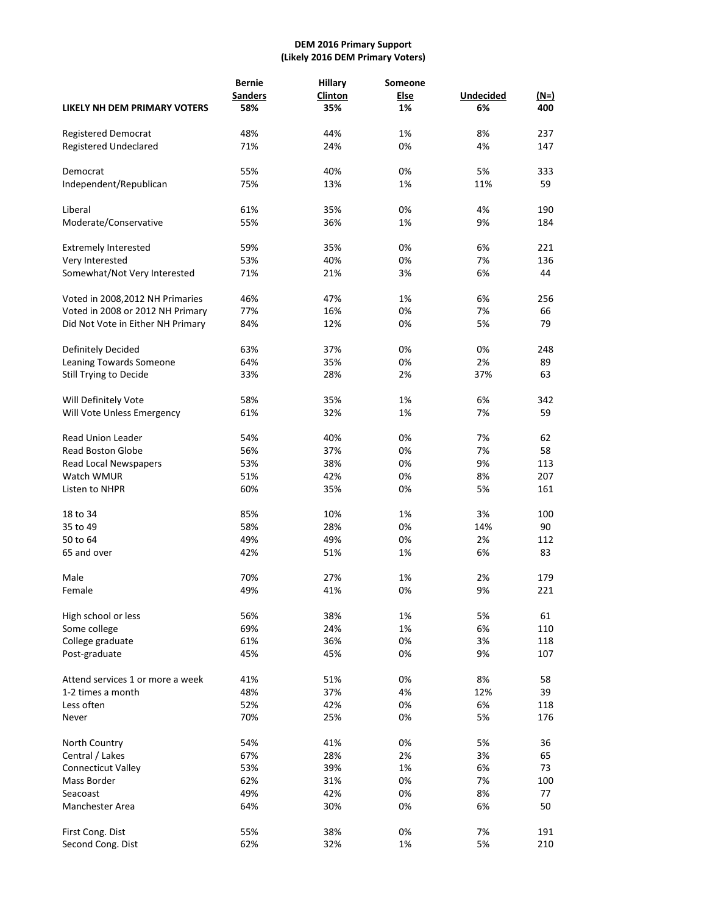## **DEM 2016 Primary Support (Likely 2016 DEM Primary Voters)**

| LIKELY NH DEM PRIMARY VOTERS          | <b>Bernie</b><br><b>Sanders</b><br>58% | <b>Hillary</b><br>Clinton<br>35% | Someone<br><b>Else</b><br>1% | <b>Undecided</b><br>6% | $(N=)$<br>400 |
|---------------------------------------|----------------------------------------|----------------------------------|------------------------------|------------------------|---------------|
|                                       |                                        |                                  |                              |                        |               |
| <b>Registered Democrat</b>            | 48%                                    | 44%                              | 1%                           | 8%                     | 237           |
| <b>Registered Undeclared</b>          | 71%                                    | 24%                              | 0%                           | 4%                     | 147           |
| Democrat                              | 55%                                    | 40%                              | 0%                           | 5%                     | 333           |
| Independent/Republican                | 75%                                    | 13%                              | 1%                           | 11%                    | 59            |
| Liberal                               | 61%                                    | 35%                              | 0%                           | 4%                     | 190           |
| Moderate/Conservative                 | 55%                                    | 36%                              | 1%                           | 9%                     | 184           |
|                                       |                                        |                                  |                              |                        |               |
| <b>Extremely Interested</b>           | 59%                                    | 35%                              | 0%                           | 6%                     | 221           |
| Very Interested                       | 53%                                    | 40%                              | 0%                           | 7%                     | 136           |
| Somewhat/Not Very Interested          | 71%                                    | 21%                              | 3%                           | 6%                     | 44            |
| Voted in 2008, 2012 NH Primaries      | 46%                                    | 47%                              | 1%                           | 6%                     | 256           |
| Voted in 2008 or 2012 NH Primary      | 77%                                    | 16%                              | 0%                           | 7%                     | 66            |
| Did Not Vote in Either NH Primary     | 84%                                    | 12%                              | 0%                           | 5%                     | 79            |
| Definitely Decided                    | 63%                                    | 37%                              | 0%                           | 0%                     | 248           |
| Leaning Towards Someone               | 64%                                    | 35%                              | 0%                           | 2%                     | 89            |
| Still Trying to Decide                | 33%                                    | 28%                              | 2%                           | 37%                    | 63            |
| Will Definitely Vote                  | 58%                                    | 35%                              | 1%                           | 6%                     | 342           |
| Will Vote Unless Emergency            | 61%                                    | 32%                              | 1%                           | 7%                     | 59            |
|                                       |                                        |                                  |                              |                        |               |
| <b>Read Union Leader</b>              | 54%                                    | 40%                              | 0%                           | 7%                     | 62            |
| <b>Read Boston Globe</b>              | 56%                                    | 37%                              | 0%                           | 7%                     | 58            |
| Read Local Newspapers                 | 53%                                    | 38%                              | 0%                           | 9%                     | 113           |
| Watch WMUR                            | 51%                                    | 42%                              | 0%                           | 8%                     | 207           |
| Listen to NHPR                        | 60%                                    | 35%                              | 0%                           | 5%                     | 161           |
| 18 to 34                              | 85%                                    | 10%                              | 1%                           | 3%                     | 100           |
| 35 to 49                              | 58%                                    | 28%                              | 0%                           | 14%                    | 90            |
| 50 to 64                              | 49%                                    | 49%                              | 0%                           | 2%                     | 112           |
| 65 and over                           | 42%                                    | 51%                              | 1%                           | 6%                     | 83            |
| Male                                  | 70%                                    | 27%                              | 1%                           | 2%                     | 179           |
| Female                                | 49%                                    | 41%                              | 0%                           | 9%                     | 221           |
|                                       |                                        |                                  |                              |                        |               |
| High school or less                   | 56%                                    | 38%                              | 1%                           | 5%                     | 61            |
| Some college                          | 69%                                    | 24%                              | 1%                           | 6%                     | 110           |
| College graduate                      | 61%                                    | 36%                              | 0%                           | 3%                     | 118           |
| Post-graduate                         | 45%                                    | 45%                              | 0%                           | 9%                     | 107           |
| Attend services 1 or more a week      | 41%                                    | 51%                              | 0%                           | 8%                     | 58            |
| 1-2 times a month                     | 48%                                    | 37%                              | 4%                           | 12%                    | 39            |
| Less often                            | 52%                                    | 42%                              | 0%                           | 6%                     | 118           |
| Never                                 | 70%                                    | 25%                              | 0%                           | 5%                     | 176           |
| North Country                         | 54%                                    | 41%                              | 0%                           | 5%                     | 36            |
| Central / Lakes                       | 67%                                    | 28%                              | 2%                           | 3%                     | 65            |
| Connecticut Valley                    | 53%                                    | 39%                              | 1%                           | 6%                     | 73            |
| Mass Border                           | 62%                                    | 31%                              | 0%                           | 7%                     | 100           |
| Seacoast                              | 49%                                    | 42%                              | 0%                           | 8%                     | 77            |
| Manchester Area                       | 64%                                    | 30%                              | 0%                           | 6%                     | 50            |
|                                       |                                        |                                  |                              |                        |               |
| First Cong. Dist<br>Second Cong. Dist | 55%<br>62%                             | 38%<br>32%                       | 0%<br>1%                     | 7%<br>5%               | 191<br>210    |
|                                       |                                        |                                  |                              |                        |               |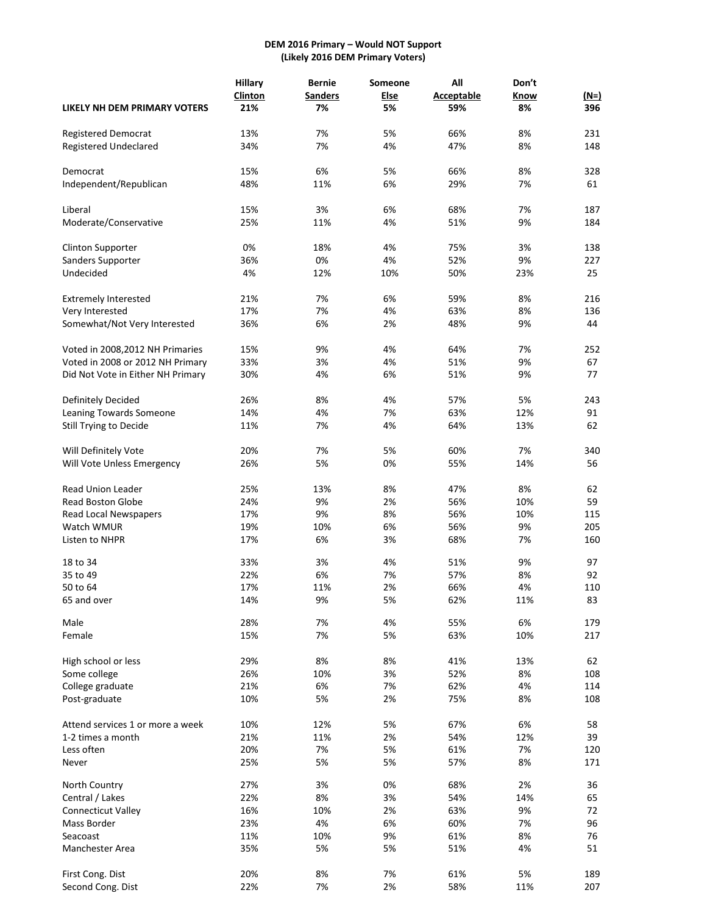## **DEM 2016 Primary – Would NOT Support (Likely 2016 DEM Primary Voters)**

|                                   | <b>Hillary</b> | <b>Bernie</b>  | Someone     | All               | Don't     |           |
|-----------------------------------|----------------|----------------|-------------|-------------------|-----------|-----------|
|                                   | <b>Clinton</b> | <b>Sanders</b> | <b>Else</b> | <b>Acceptable</b> | Know      | $(N=)$    |
| LIKELY NH DEM PRIMARY VOTERS      | 21%            | 7%             | 5%          | 59%               | 8%        | 396       |
|                                   |                |                |             |                   |           |           |
| Registered Democrat               | 13%            | 7%             | 5%          | 66%               | 8%        | 231       |
| <b>Registered Undeclared</b>      | 34%            | 7%             | 4%          | 47%               | 8%        | 148       |
| Democrat                          | 15%            | 6%             | 5%          | 66%               | 8%        | 328       |
| Independent/Republican            | 48%            | 11%            | 6%          | 29%               | 7%        | 61        |
|                                   |                |                |             |                   |           |           |
| Liberal                           | 15%            | 3%             | 6%          | 68%               | 7%        | 187       |
| Moderate/Conservative             | 25%            | 11%            | 4%          | 51%               | 9%        | 184       |
| <b>Clinton Supporter</b>          | 0%             | 18%            | 4%          | 75%               | 3%        | 138       |
| Sanders Supporter                 | 36%            | 0%             | 4%          | 52%               | 9%        | 227       |
| Undecided                         | 4%             | 12%            | 10%         | 50%               | 23%       | 25        |
|                                   |                |                |             |                   |           |           |
| <b>Extremely Interested</b>       | 21%            | 7%             | 6%          | 59%               | 8%        | 216       |
| Very Interested                   | 17%            | 7%             | 4%          | 63%               | 8%        | 136       |
| Somewhat/Not Very Interested      | 36%            | 6%             | 2%          | 48%               | 9%        | 44        |
| Voted in 2008, 2012 NH Primaries  | 15%            | 9%             | 4%          | 64%               | 7%        | 252       |
| Voted in 2008 or 2012 NH Primary  | 33%            | 3%             | 4%          | 51%               | 9%        | 67        |
|                                   |                | 4%             |             |                   | 9%        | 77        |
| Did Not Vote in Either NH Primary | 30%            |                | 6%          | 51%               |           |           |
| Definitely Decided                | 26%            | 8%             | 4%          | 57%               | 5%        | 243       |
| Leaning Towards Someone           | 14%            | 4%             | 7%          | 63%               | 12%       | 91        |
| Still Trying to Decide            | 11%            | 7%             | 4%          | 64%               | 13%       | 62        |
|                                   |                |                |             |                   |           |           |
| Will Definitely Vote              | 20%            | 7%             | 5%          | 60%               | 7%        | 340       |
| Will Vote Unless Emergency        | 26%            | 5%             | 0%          | 55%               | 14%       | 56        |
| <b>Read Union Leader</b>          | 25%            | 13%            | 8%          | 47%               | 8%        | 62        |
| <b>Read Boston Globe</b>          | 24%            | 9%             | 2%          | 56%               | 10%       | 59        |
| Read Local Newspapers             | 17%            | 9%             | 8%          | 56%               | 10%       | 115       |
| Watch WMUR                        | 19%            | 10%            | 6%          | 56%               | 9%        | 205       |
| Listen to NHPR                    | 17%            | 6%             | 3%          | 68%               | 7%        | 160       |
|                                   |                | 3%             |             | 51%               | 9%        | 97        |
| 18 to 34                          | 33%<br>22%     | 6%             | 4%<br>7%    | 57%               | 8%        | 92        |
| 35 to 49                          |                |                |             |                   |           |           |
| 50 to 64<br>65 and over           | 17%<br>14%     | 11%<br>9%      | 2%<br>5%    | 66%<br>62%        | 4%<br>11% | 110<br>83 |
|                                   |                |                |             |                   |           |           |
| Male                              | 28%            | 7%             | 4%          | 55%               | 6%        | 179       |
| Female                            | 15%            | 7%             | 5%          | 63%               | 10%       | 217       |
| High school or less               | 29%            | 8%             | 8%          | 41%               | 13%       | 62        |
| Some college                      | 26%            | 10%            | 3%          | 52%               | 8%        | 108       |
| College graduate                  | 21%            | 6%             | 7%          | 62%               | 4%        | 114       |
| Post-graduate                     | 10%            | 5%             | 2%          | 75%               | 8%        | 108       |
|                                   |                |                |             |                   |           |           |
| Attend services 1 or more a week  | 10%            | 12%            | 5%          | 67%               | 6%        | 58        |
| 1-2 times a month                 | 21%            | 11%            | 2%          | 54%               | 12%       | 39        |
| Less often                        | 20%            | 7%             | 5%          | 61%               | 7%        | 120       |
| Never                             | 25%            | 5%             | 5%          | 57%               | 8%        | 171       |
| North Country                     | 27%            | 3%             | 0%          | 68%               | 2%        | 36        |
| Central / Lakes                   | 22%            | 8%             | 3%          | 54%               | 14%       | 65        |
| <b>Connecticut Valley</b>         | 16%            | 10%            | 2%          | 63%               | 9%        | 72        |
| Mass Border                       | 23%            | 4%             | 6%          | 60%               | 7%        | 96        |
| Seacoast                          | 11%            | 10%            | 9%          | 61%               | 8%        | 76        |
| Manchester Area                   | 35%            | 5%             | 5%          | 51%               | 4%        | 51        |
|                                   |                |                |             |                   |           |           |
| First Cong. Dist                  | 20%            | 8%             | 7%          | 61%               | 5%        | 189       |
| Second Cong. Dist                 | 22%            | 7%             | 2%          | 58%               | 11%       | 207       |